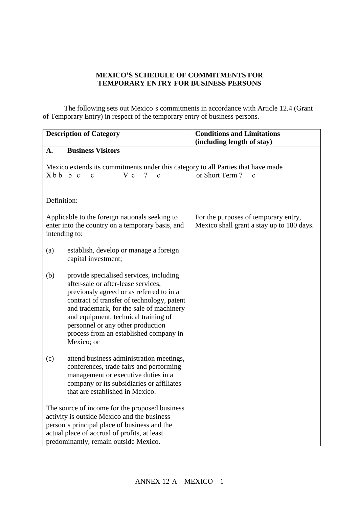# **MEXICO'S SCHEDULE OF COMMITMENTS FOR TEMPORARY ENTRY FOR BUSINESS PERSONS**

The following sets out Mexico s commitments in accordance with Article 12.4 (Grant of Temporary Entry) in respect of the temporary entry of business persons.

|                                                                                                                                                                                     | <b>Description of Category</b>                                                                                                                                                                                                                                                                                                                            | <b>Conditions and Limitations</b><br>(including length of stay)                   |  |  |
|-------------------------------------------------------------------------------------------------------------------------------------------------------------------------------------|-----------------------------------------------------------------------------------------------------------------------------------------------------------------------------------------------------------------------------------------------------------------------------------------------------------------------------------------------------------|-----------------------------------------------------------------------------------|--|--|
| A.                                                                                                                                                                                  | <b>Business Visitors</b>                                                                                                                                                                                                                                                                                                                                  |                                                                                   |  |  |
| Mexico extends its commitments under this category to all Parties that have made<br>or Short Term 7<br>X b b b c<br>$V_c$<br>$\tau$<br>$\mathbf{c}$<br>$\mathbf{c}$<br>$\mathbf{c}$ |                                                                                                                                                                                                                                                                                                                                                           |                                                                                   |  |  |
|                                                                                                                                                                                     | Definition:                                                                                                                                                                                                                                                                                                                                               |                                                                                   |  |  |
|                                                                                                                                                                                     | Applicable to the foreign nationals seeking to<br>enter into the country on a temporary basis, and<br>intending to:                                                                                                                                                                                                                                       | For the purposes of temporary entry,<br>Mexico shall grant a stay up to 180 days. |  |  |
| (a)                                                                                                                                                                                 | establish, develop or manage a foreign<br>capital investment;                                                                                                                                                                                                                                                                                             |                                                                                   |  |  |
| (b)                                                                                                                                                                                 | provide specialised services, including<br>after-sale or after-lease services,<br>previously agreed or as referred to in a<br>contract of transfer of technology, patent<br>and trademark, for the sale of machinery<br>and equipment, technical training of<br>personnel or any other production<br>process from an established company in<br>Mexico; or |                                                                                   |  |  |
| (c)                                                                                                                                                                                 | attend business administration meetings,<br>conferences, trade fairs and performing<br>management or executive duties in a<br>company or its subsidiaries or affiliates<br>that are established in Mexico.                                                                                                                                                |                                                                                   |  |  |
|                                                                                                                                                                                     | The source of income for the proposed business<br>activity is outside Mexico and the business<br>person s principal place of business and the<br>actual place of accrual of profits, at least<br>predominantly, remain outside Mexico.                                                                                                                    |                                                                                   |  |  |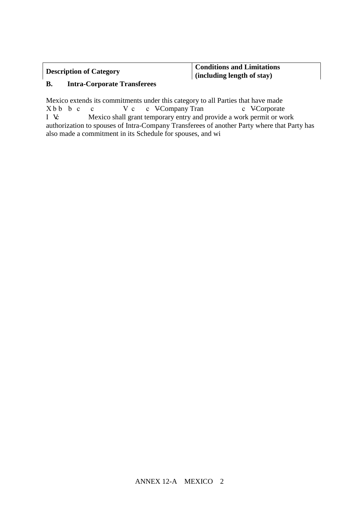**Description of Category Conditions and Limitations (including length of stay)**

# **B. Intra-Corporate Transferees**

Mexico extends its commitments under this category to all Parties that have made X b b c c V c c VCompany Tran c VCorporate I V: Mexico shall grant temporary entry and provide a work permit or work authorization to spouses of Intra-Company Transferees of another Party where that Party has also made a commitment in its Schedule for spouses, and wi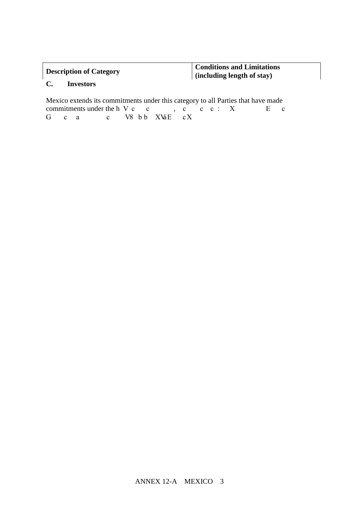### **Description of Category Conditions and Limitations (including length of stay)**

# **C. Investors**

Mexico extends its commitments under this category to all Parties that have made commitments under the h  $Vc$   $c$   $c$   $c$   $c$   $c$   $r$   $x$   $F$   $c$ G c a c V8 b b XVaE cX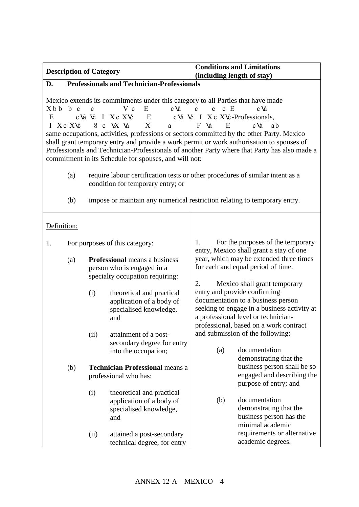| <b>Description of Category</b>                                                                                                                                                                                                                                                                                                                                                                                                                                                                                                                                                                                                                                                                   |                                                                                                                           |                                                                                 |                                                                                                       | <b>Conditions and Limitations</b>                                                                                   |                                                                                                                                                                                                    |  |
|--------------------------------------------------------------------------------------------------------------------------------------------------------------------------------------------------------------------------------------------------------------------------------------------------------------------------------------------------------------------------------------------------------------------------------------------------------------------------------------------------------------------------------------------------------------------------------------------------------------------------------------------------------------------------------------------------|---------------------------------------------------------------------------------------------------------------------------|---------------------------------------------------------------------------------|-------------------------------------------------------------------------------------------------------|---------------------------------------------------------------------------------------------------------------------|----------------------------------------------------------------------------------------------------------------------------------------------------------------------------------------------------|--|
|                                                                                                                                                                                                                                                                                                                                                                                                                                                                                                                                                                                                                                                                                                  |                                                                                                                           |                                                                                 |                                                                                                       | (including length of stay)                                                                                          |                                                                                                                                                                                                    |  |
| D.                                                                                                                                                                                                                                                                                                                                                                                                                                                                                                                                                                                                                                                                                               |                                                                                                                           |                                                                                 | <b>Professionals and Technician-Professionals</b>                                                     |                                                                                                                     |                                                                                                                                                                                                    |  |
| Mexico extends its commitments under this category to all Parties that have made<br>$V_c$<br>$c \n M$<br>c E<br>Xbb b c<br>E<br>$\mathbf{c}$<br>$\mathbf{c}$<br>$c \nightharpoonup a$<br>$\mathbf{c}$<br>c Va Vc I X c X Vc<br>cVa Vc I X c XVc-Professionals,<br>E<br>E<br>X<br>8 c W Va<br>E<br>c Va<br>L<br>X c X Vc<br>F<br>Va<br>ab<br>a<br>same occupations, activities, professions or sectors committed by the other Party. Mexico<br>shall grant temporary entry and provide a work permit or work authorisation to spouses of<br>Professionals and Technician-Professionals of another Party where that Party has also made a<br>commitment in its Schedule for spouses, and will not: |                                                                                                                           |                                                                                 |                                                                                                       |                                                                                                                     |                                                                                                                                                                                                    |  |
|                                                                                                                                                                                                                                                                                                                                                                                                                                                                                                                                                                                                                                                                                                  | require labour certification tests or other procedures of similar intent as a<br>(a)<br>condition for temporary entry; or |                                                                                 |                                                                                                       |                                                                                                                     |                                                                                                                                                                                                    |  |
|                                                                                                                                                                                                                                                                                                                                                                                                                                                                                                                                                                                                                                                                                                  | (b)<br>impose or maintain any numerical restriction relating to temporary entry.                                          |                                                                                 |                                                                                                       |                                                                                                                     |                                                                                                                                                                                                    |  |
| Definition:                                                                                                                                                                                                                                                                                                                                                                                                                                                                                                                                                                                                                                                                                      |                                                                                                                           |                                                                                 |                                                                                                       |                                                                                                                     |                                                                                                                                                                                                    |  |
| 1.                                                                                                                                                                                                                                                                                                                                                                                                                                                                                                                                                                                                                                                                                               |                                                                                                                           | 1.<br>For purposes of this category:<br>entry, Mexico shall grant a stay of one |                                                                                                       |                                                                                                                     | For the purposes of the temporary                                                                                                                                                                  |  |
|                                                                                                                                                                                                                                                                                                                                                                                                                                                                                                                                                                                                                                                                                                  | (a)                                                                                                                       |                                                                                 | <b>Professional</b> means a business<br>person who is engaged in a<br>specialty occupation requiring: | year, which may be extended three times<br>for each and equal period of time.<br>Mexico shall grant temporary<br>2. |                                                                                                                                                                                                    |  |
|                                                                                                                                                                                                                                                                                                                                                                                                                                                                                                                                                                                                                                                                                                  |                                                                                                                           | (i)                                                                             | theoretical and practical<br>application of a body of<br>specialised knowledge,<br>and                |                                                                                                                     | entry and provide confirming<br>documentation to a business person<br>seeking to engage in a business activity at<br>a professional level or technician-<br>professional, based on a work contract |  |
|                                                                                                                                                                                                                                                                                                                                                                                                                                                                                                                                                                                                                                                                                                  |                                                                                                                           | (ii)                                                                            | attainment of a post-<br>secondary degree for entry<br>into the occupation;                           | (a)                                                                                                                 | and submission of the following:<br>documentation<br>demonstrating that the                                                                                                                        |  |
|                                                                                                                                                                                                                                                                                                                                                                                                                                                                                                                                                                                                                                                                                                  | (b)                                                                                                                       |                                                                                 | <b>Technician Professional means a</b><br>professional who has:                                       |                                                                                                                     | business person shall be so<br>engaged and describing the<br>purpose of entry; and                                                                                                                 |  |
|                                                                                                                                                                                                                                                                                                                                                                                                                                                                                                                                                                                                                                                                                                  |                                                                                                                           | (i)                                                                             | theoretical and practical<br>application of a body of<br>specialised knowledge,<br>and                | (b)                                                                                                                 | documentation<br>demonstrating that the<br>business person has the<br>minimal academic                                                                                                             |  |
|                                                                                                                                                                                                                                                                                                                                                                                                                                                                                                                                                                                                                                                                                                  |                                                                                                                           | (ii)                                                                            | attained a post-secondary<br>technical degree, for entry                                              |                                                                                                                     | requirements or alternative<br>academic degrees.                                                                                                                                                   |  |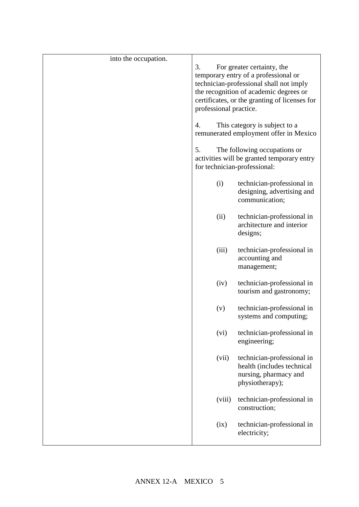| into the occupation. |                                               |                                         |  |
|----------------------|-----------------------------------------------|-----------------------------------------|--|
|                      | 3.                                            | For greater certainty, the              |  |
|                      | temporary entry of a professional or          |                                         |  |
|                      |                                               | technician-professional shall not imply |  |
|                      |                                               | the recognition of academic degrees or  |  |
|                      | certificates, or the granting of licenses for |                                         |  |
|                      | professional practice.                        |                                         |  |
|                      | This category is subject to a<br>4.           |                                         |  |
|                      | remunerated employment offer in Mexico        |                                         |  |
|                      | 5.<br>The following occupations or            |                                         |  |
|                      | activities will be granted temporary entry    |                                         |  |
|                      | for technician-professional:                  |                                         |  |
|                      | (i)                                           | technician-professional in              |  |
|                      |                                               | designing, advertising and              |  |
|                      |                                               | communication;                          |  |
|                      | (ii)                                          | technician-professional in              |  |
|                      |                                               | architecture and interior               |  |
|                      |                                               | designs;                                |  |
|                      | (iii)                                         | technician-professional in              |  |
|                      |                                               | accounting and                          |  |
|                      |                                               | management;                             |  |
|                      |                                               |                                         |  |
|                      | (iv)                                          | technician-professional in              |  |
|                      |                                               | tourism and gastronomy;                 |  |
|                      | (v)                                           | technician-professional in              |  |
|                      |                                               | systems and computing;                  |  |
|                      |                                               |                                         |  |
|                      | (vi)                                          | technician-professional in              |  |
|                      |                                               | engineering;                            |  |
|                      | (vii)                                         | technician-professional in              |  |
|                      |                                               | health (includes technical              |  |
|                      |                                               | nursing, pharmacy and                   |  |
|                      |                                               | physiotherapy);                         |  |
|                      | (viii)                                        | technician-professional in              |  |
|                      |                                               | construction;                           |  |
|                      |                                               |                                         |  |
|                      | (ix)                                          | technician-professional in              |  |
|                      |                                               | electricity;                            |  |
|                      |                                               |                                         |  |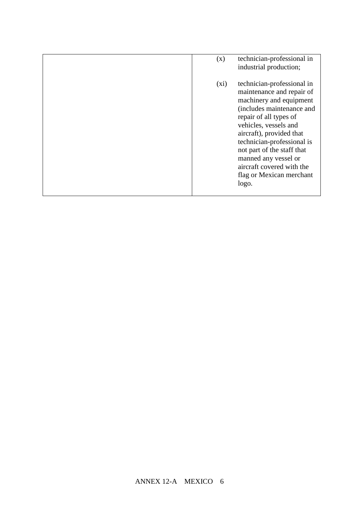| (x)     | technician-professional in<br>industrial production;                                                                                                                                                                                                                                                                                                 |
|---------|------------------------------------------------------------------------------------------------------------------------------------------------------------------------------------------------------------------------------------------------------------------------------------------------------------------------------------------------------|
| $(x_i)$ | technician-professional in<br>maintenance and repair of<br>machinery and equipment<br>(includes maintenance and<br>repair of all types of<br>vehicles, vessels and<br>aircraft), provided that<br>technician-professional is<br>not part of the staff that<br>manned any vessel or<br>aircraft covered with the<br>flag or Mexican merchant<br>logo. |
|         |                                                                                                                                                                                                                                                                                                                                                      |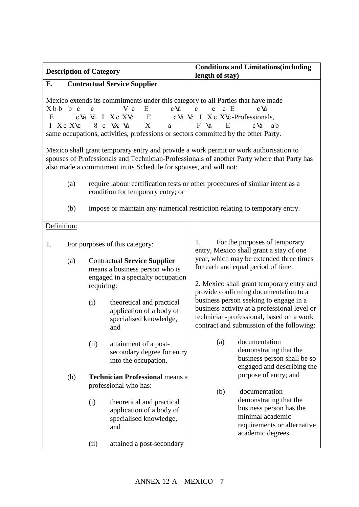| <b>Description of Category</b>                                                                                                                                                                                                                            |                                                                                                                                                                                                                                                                                                                                                                                                                                          |                                                                                                                          |                                                                                                                     | <b>Conditions and Limitations (including</b><br>length of stay)                                                                                                                 |  |  |
|-----------------------------------------------------------------------------------------------------------------------------------------------------------------------------------------------------------------------------------------------------------|------------------------------------------------------------------------------------------------------------------------------------------------------------------------------------------------------------------------------------------------------------------------------------------------------------------------------------------------------------------------------------------------------------------------------------------|--------------------------------------------------------------------------------------------------------------------------|---------------------------------------------------------------------------------------------------------------------|---------------------------------------------------------------------------------------------------------------------------------------------------------------------------------|--|--|
| E.<br><b>Contractual Service Supplier</b>                                                                                                                                                                                                                 |                                                                                                                                                                                                                                                                                                                                                                                                                                          |                                                                                                                          |                                                                                                                     |                                                                                                                                                                                 |  |  |
| E                                                                                                                                                                                                                                                         | Mexico extends its commitments under this category to all Parties that have made<br>V c<br>E<br>$c \nightharpoonup d$<br>c E<br>Xbb b c<br>$\mathbf{c}$<br>$\mathbf{c}$<br>$c \n\mathbf{V}$<br>$\mathbf c$<br>cVa Vc I X c XVc<br>Ε<br>cVa Vc I X c XVc-Professionals,<br>X<br>$8\,$ c $\,$ VX Va $\,$<br>E<br>c Va<br>I Xc XVc<br>F Va<br>ab<br>a<br>same occupations, activities, professions or sectors committed by the other Party. |                                                                                                                          |                                                                                                                     |                                                                                                                                                                                 |  |  |
| Mexico shall grant temporary entry and provide a work permit or work authorisation to<br>spouses of Professionals and Technician-Professionals of another Party where that Party has<br>also made a commitment in its Schedule for spouses, and will not: |                                                                                                                                                                                                                                                                                                                                                                                                                                          |                                                                                                                          |                                                                                                                     |                                                                                                                                                                                 |  |  |
|                                                                                                                                                                                                                                                           | (a)                                                                                                                                                                                                                                                                                                                                                                                                                                      | require labour certification tests or other procedures of similar intent as a<br>condition for temporary entry; or       |                                                                                                                     |                                                                                                                                                                                 |  |  |
|                                                                                                                                                                                                                                                           | (b)                                                                                                                                                                                                                                                                                                                                                                                                                                      |                                                                                                                          |                                                                                                                     | impose or maintain any numerical restriction relating to temporary entry.                                                                                                       |  |  |
| Definition:                                                                                                                                                                                                                                               |                                                                                                                                                                                                                                                                                                                                                                                                                                          |                                                                                                                          |                                                                                                                     |                                                                                                                                                                                 |  |  |
| 1.                                                                                                                                                                                                                                                        |                                                                                                                                                                                                                                                                                                                                                                                                                                          |                                                                                                                          | For purposes of this category:                                                                                      | For the purposes of temporary<br>1.<br>entry, Mexico shall grant a stay of one                                                                                                  |  |  |
|                                                                                                                                                                                                                                                           | (a)                                                                                                                                                                                                                                                                                                                                                                                                                                      | <b>Contractual Service Supplier</b><br>means a business person who is<br>engaged in a specialty occupation<br>requiring: |                                                                                                                     | year, which may be extended three times<br>for each and equal period of time.<br>2. Mexico shall grant temporary entry and<br>provide confirming documentation to a             |  |  |
|                                                                                                                                                                                                                                                           |                                                                                                                                                                                                                                                                                                                                                                                                                                          | (i)                                                                                                                      | theoretical and practical<br>application of a body of<br>specialised knowledge,<br>and                              | business person seeking to engage in a<br>business activity at a professional level or<br>technician-professional, based on a work<br>contract and submission of the following: |  |  |
|                                                                                                                                                                                                                                                           |                                                                                                                                                                                                                                                                                                                                                                                                                                          | (ii)                                                                                                                     | attainment of a post-<br>secondary degree for entry<br>into the occupation.                                         | documentation<br>(a)<br>demonstrating that the<br>business person shall be so<br>engaged and describing the                                                                     |  |  |
|                                                                                                                                                                                                                                                           | (b)                                                                                                                                                                                                                                                                                                                                                                                                                                      | <b>Technician Professional means a</b><br>professional who has:                                                          |                                                                                                                     | purpose of entry; and                                                                                                                                                           |  |  |
|                                                                                                                                                                                                                                                           |                                                                                                                                                                                                                                                                                                                                                                                                                                          | (i)<br>(ii)                                                                                                              | theoretical and practical<br>application of a body of<br>specialised knowledge,<br>and<br>attained a post-secondary | (b)<br>documentation<br>demonstrating that the<br>business person has the<br>minimal academic<br>requirements or alternative<br>academic degrees.                               |  |  |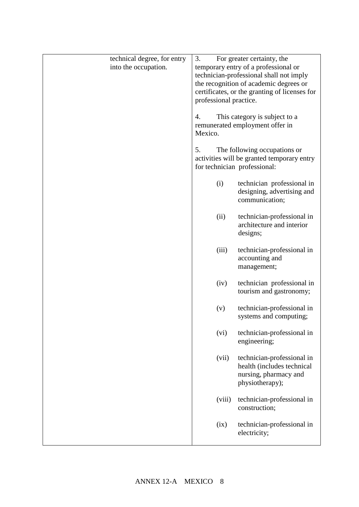| technical degree, for entry | 3.                                            | For greater certainty, the                              |
|-----------------------------|-----------------------------------------------|---------------------------------------------------------|
| into the occupation.        |                                               | temporary entry of a professional or                    |
|                             |                                               | technician-professional shall not imply                 |
|                             |                                               | the recognition of academic degrees or                  |
|                             | certificates, or the granting of licenses for |                                                         |
|                             | professional practice.                        |                                                         |
|                             | 4.                                            | This category is subject to a                           |
|                             |                                               | remunerated employment offer in                         |
|                             | Mexico.                                       |                                                         |
|                             |                                               |                                                         |
|                             | 5.                                            | The following occupations or                            |
|                             |                                               | activities will be granted temporary entry              |
|                             |                                               | for technician professional:                            |
|                             | (i)                                           | technician professional in                              |
|                             |                                               | designing, advertising and                              |
|                             |                                               | communication;                                          |
|                             |                                               |                                                         |
|                             | (ii)                                          | technician-professional in<br>architecture and interior |
|                             |                                               | designs;                                                |
|                             |                                               |                                                         |
|                             | (iii)                                         | technician-professional in                              |
|                             |                                               | accounting and                                          |
|                             |                                               | management;                                             |
|                             | (iv)                                          | technician professional in                              |
|                             |                                               | tourism and gastronomy;                                 |
|                             |                                               |                                                         |
|                             | (v)                                           | technician-professional in                              |
|                             |                                               | systems and computing;                                  |
|                             | (vi)                                          | technician-professional in                              |
|                             |                                               | engineering;                                            |
|                             |                                               |                                                         |
|                             | (vii)                                         | technician-professional in                              |
|                             |                                               | health (includes technical                              |
|                             |                                               | nursing, pharmacy and                                   |
|                             |                                               | physiotherapy);                                         |
|                             | (viii)                                        | technician-professional in                              |
|                             |                                               | construction;                                           |
|                             |                                               |                                                         |
|                             | (ix)                                          | technician-professional in                              |
|                             |                                               | electricity;                                            |
|                             |                                               |                                                         |